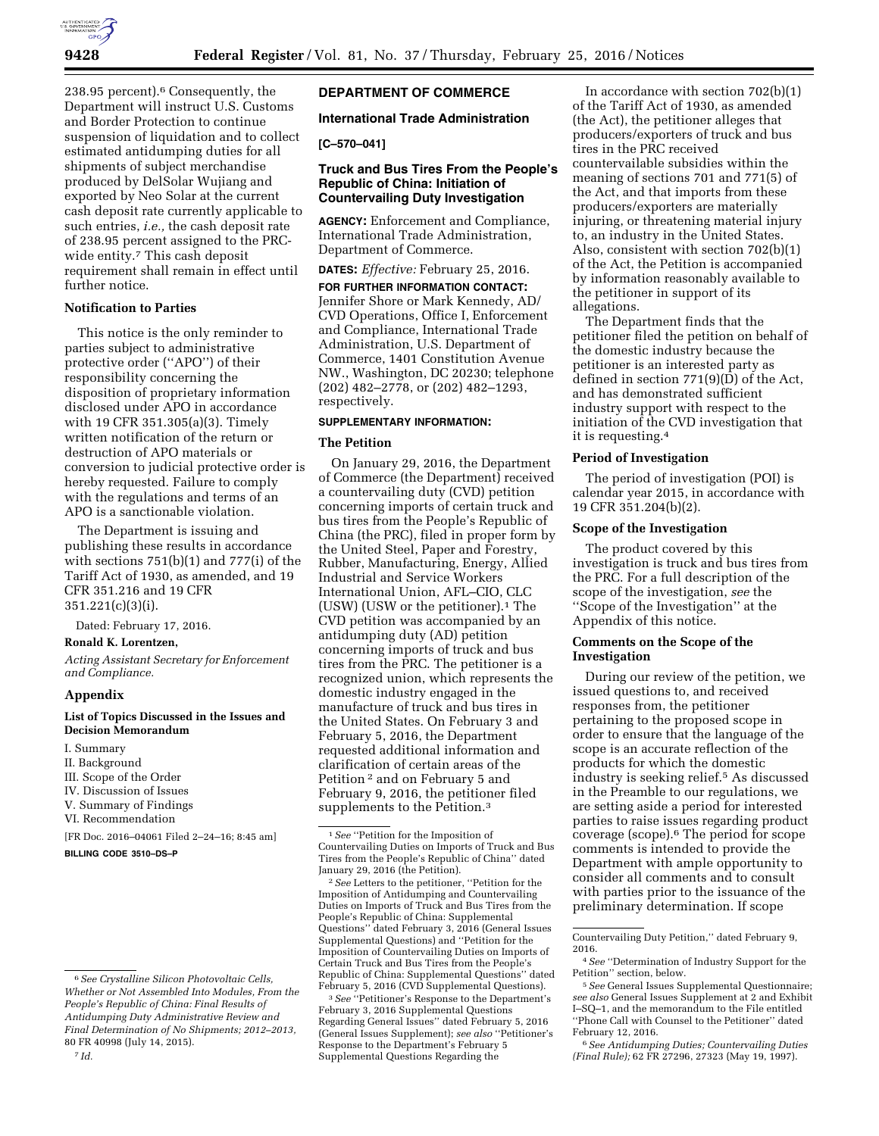

238.95 percent).6 Consequently, the Department will instruct U.S. Customs and Border Protection to continue suspension of liquidation and to collect estimated antidumping duties for all shipments of subject merchandise produced by DelSolar Wujiang and exported by Neo Solar at the current cash deposit rate currently applicable to such entries, *i.e.,* the cash deposit rate of 238.95 percent assigned to the PRCwide entity.<sup>7</sup> This cash deposit requirement shall remain in effect until further notice.

# **Notification to Parties**

This notice is the only reminder to parties subject to administrative protective order (''APO'') of their responsibility concerning the disposition of proprietary information disclosed under APO in accordance with 19 CFR 351.305(a)(3). Timely written notification of the return or destruction of APO materials or conversion to judicial protective order is hereby requested. Failure to comply with the regulations and terms of an APO is a sanctionable violation.

The Department is issuing and publishing these results in accordance with sections 751(b)(1) and 777(i) of the Tariff Act of 1930, as amended, and 19 CFR 351.216 and 19 CFR 351.221(c)(3)(i).

Dated: February 17, 2016.

## **Ronald K. Lorentzen,**

*Acting Assistant Secretary for Enforcement and Compliance.* 

## **Appendix**

# **List of Topics Discussed in the Issues and Decision Memorandum**

I. Summary II. Background III. Scope of the Order IV. Discussion of Issues V. Summary of Findings VI. Recommendation [FR Doc. 2016–04061 Filed 2–24–16; 8:45 am]

**BILLING CODE 3510–DS–P** 

### 7 *Id.*

## **DEPARTMENT OF COMMERCE**

## **International Trade Administration**

# **[C–570–041]**

## **Truck and Bus Tires From the People's Republic of China: Initiation of Countervailing Duty Investigation**

**AGENCY:** Enforcement and Compliance, International Trade Administration, Department of Commerce.

**DATES:** *Effective:* February 25, 2016.

**FOR FURTHER INFORMATION CONTACT:**  Jennifer Shore or Mark Kennedy, AD/ CVD Operations, Office I, Enforcement and Compliance, International Trade Administration, U.S. Department of Commerce, 1401 Constitution Avenue NW., Washington, DC 20230; telephone (202) 482–2778, or (202) 482–1293, respectively.

## **SUPPLEMENTARY INFORMATION:**

### **The Petition**

On January 29, 2016, the Department of Commerce (the Department) received a countervailing duty (CVD) petition concerning imports of certain truck and bus tires from the People's Republic of China (the PRC), filed in proper form by the United Steel, Paper and Forestry, Rubber, Manufacturing, Energy, Allied Industrial and Service Workers International Union, AFL–CIO, CLC (USW) (USW or the petitioner).1 The CVD petition was accompanied by an antidumping duty (AD) petition concerning imports of truck and bus tires from the PRC. The petitioner is a recognized union, which represents the domestic industry engaged in the manufacture of truck and bus tires in the United States. On February 3 and February 5, 2016, the Department requested additional information and clarification of certain areas of the Petition 2 and on February 5 and February 9, 2016, the petitioner filed supplements to the Petition.3

In accordance with section 702(b)(1) of the Tariff Act of 1930, as amended (the Act), the petitioner alleges that producers/exporters of truck and bus tires in the PRC received countervailable subsidies within the meaning of sections 701 and 771(5) of the Act, and that imports from these producers/exporters are materially injuring, or threatening material injury to, an industry in the United States. Also, consistent with section 702(b)(1) of the Act, the Petition is accompanied by information reasonably available to the petitioner in support of its allegations.

The Department finds that the petitioner filed the petition on behalf of the domestic industry because the petitioner is an interested party as defined in section 771(9)(D) of the Act, and has demonstrated sufficient industry support with respect to the initiation of the CVD investigation that it is requesting.4

## **Period of Investigation**

The period of investigation (POI) is calendar year 2015, in accordance with 19 CFR 351.204(b)(2).

## **Scope of the Investigation**

The product covered by this investigation is truck and bus tires from the PRC. For a full description of the scope of the investigation, *see* the ''Scope of the Investigation'' at the Appendix of this notice.

## **Comments on the Scope of the Investigation**

During our review of the petition, we issued questions to, and received responses from, the petitioner pertaining to the proposed scope in order to ensure that the language of the scope is an accurate reflection of the products for which the domestic industry is seeking relief.5 As discussed in the Preamble to our regulations, we are setting aside a period for interested parties to raise issues regarding product coverage (scope).6 The period for scope comments is intended to provide the Department with ample opportunity to consider all comments and to consult with parties prior to the issuance of the preliminary determination. If scope

6*See Antidumping Duties; Countervailing Duties (Final Rule);* 62 FR 27296, 27323 (May 19, 1997).

<sup>6</sup>*See Crystalline Silicon Photovoltaic Cells, Whether or Not Assembled Into Modules, From the People's Republic of China: Final Results of Antidumping Duty Administrative Review and Final Determination of No Shipments; 2012–2013,*  80 FR 40998 (July 14, 2015).

<sup>1</sup>*See* ''Petition for the Imposition of Countervailing Duties on Imports of Truck and Bus Tires from the People's Republic of China'' dated January 29, 2016 (the Petition).

<sup>2</sup>*See* Letters to the petitioner, ''Petition for the Imposition of Antidumping and Countervailing Duties on Imports of Truck and Bus Tires from the People's Republic of China: Supplemental Questions'' dated February 3, 2016 (General Issues Supplemental Questions) and ''Petition for the Imposition of Countervailing Duties on Imports of Certain Truck and Bus Tires from the People's Republic of China: Supplemental Questions'' dated February 5, 2016 (CVD Supplemental Questions).

<sup>3</sup>*See* ''Petitioner's Response to the Department's February 3, 2016 Supplemental Questions Regarding General Issues'' dated February 5, 2016 (General Issues Supplement); *see also* ''Petitioner's Response to the Department's February 5 Supplemental Questions Regarding the

Countervailing Duty Petition,'' dated February 9, 2016.

<sup>4</sup>*See* ''Determination of Industry Support for the Petition'' section, below.

<sup>5</sup>*See* General Issues Supplemental Questionnaire; *see also* General Issues Supplement at 2 and Exhibit I–SQ–1, and the memorandum to the File entitled ''Phone Call with Counsel to the Petitioner'' dated February 12, 2016.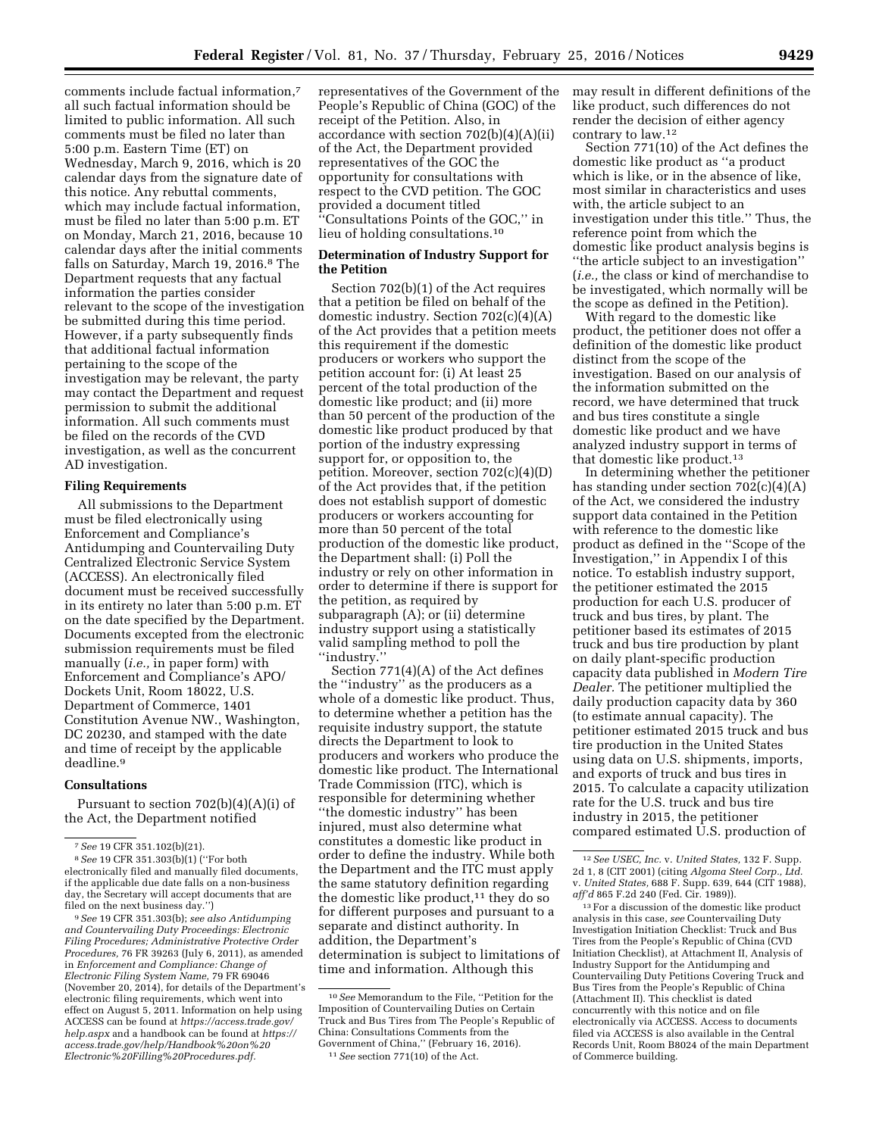comments include factual information,7 all such factual information should be limited to public information. All such comments must be filed no later than 5:00 p.m. Eastern Time (ET) on Wednesday, March 9, 2016, which is 20 calendar days from the signature date of this notice. Any rebuttal comments, which may include factual information, must be filed no later than 5:00 p.m. ET on Monday, March 21, 2016, because 10 calendar days after the initial comments falls on Saturday, March 19, 2016.8 The Department requests that any factual information the parties consider relevant to the scope of the investigation be submitted during this time period. However, if a party subsequently finds that additional factual information pertaining to the scope of the investigation may be relevant, the party may contact the Department and request permission to submit the additional information. All such comments must be filed on the records of the CVD investigation, as well as the concurrent AD investigation.

## **Filing Requirements**

All submissions to the Department must be filed electronically using Enforcement and Compliance's Antidumping and Countervailing Duty Centralized Electronic Service System (ACCESS). An electronically filed document must be received successfully in its entirety no later than 5:00 p.m. ET on the date specified by the Department. Documents excepted from the electronic submission requirements must be filed manually (*i.e.,* in paper form) with Enforcement and Compliance's APO/ Dockets Unit, Room 18022, U.S. Department of Commerce, 1401 Constitution Avenue NW., Washington, DC 20230, and stamped with the date and time of receipt by the applicable deadline.9

#### **Consultations**

Pursuant to section 702(b)(4)(A)(i) of the Act, the Department notified

9*See* 19 CFR 351.303(b); *see also Antidumping and Countervailing Duty Proceedings: Electronic Filing Procedures; Administrative Protective Order Procedures,* 76 FR 39263 (July 6, 2011), as amended in *Enforcement and Compliance: Change of Electronic Filing System Name,* 79 FR 69046 (November 20, 2014), for details of the Department's electronic filing requirements, which went into effect on August 5, 2011. Information on help using ACCESS can be found at *[https://access.trade.gov/](https://access.trade.gov/help.aspx) [help.aspx](https://access.trade.gov/help.aspx)* and a handbook can be found at *[https://](https://access.trade.gov/help/Handbook%20on%20Electronic%20Filling%20Procedures.pdf)  [access.trade.gov/help/Handbook%20on%20](https://access.trade.gov/help/Handbook%20on%20Electronic%20Filling%20Procedures.pdf) [Electronic%20Filling%20Procedures.pdf.](https://access.trade.gov/help/Handbook%20on%20Electronic%20Filling%20Procedures.pdf)* 

representatives of the Government of the People's Republic of China (GOC) of the receipt of the Petition. Also, in accordance with section  $702(b)(4)(A)(ii)$ of the Act, the Department provided representatives of the GOC the opportunity for consultations with respect to the CVD petition. The GOC provided a document titled ''Consultations Points of the GOC,'' in lieu of holding consultations.10

## **Determination of Industry Support for the Petition**

Section 702(b)(1) of the Act requires that a petition be filed on behalf of the domestic industry. Section 702(c)(4)(A) of the Act provides that a petition meets this requirement if the domestic producers or workers who support the petition account for: (i) At least 25 percent of the total production of the domestic like product; and (ii) more than 50 percent of the production of the domestic like product produced by that portion of the industry expressing support for, or opposition to, the petition. Moreover, section 702(c)(4)(D) of the Act provides that, if the petition does not establish support of domestic producers or workers accounting for more than 50 percent of the total production of the domestic like product, the Department shall: (i) Poll the industry or rely on other information in order to determine if there is support for the petition, as required by subparagraph (A); or (ii) determine industry support using a statistically valid sampling method to poll the ''industry.''

Section 771(4)(A) of the Act defines the ''industry'' as the producers as a whole of a domestic like product. Thus, to determine whether a petition has the requisite industry support, the statute directs the Department to look to producers and workers who produce the domestic like product. The International Trade Commission (ITC), which is responsible for determining whether ''the domestic industry'' has been injured, must also determine what constitutes a domestic like product in order to define the industry. While both the Department and the ITC must apply the same statutory definition regarding the domestic like product,<sup>11</sup> they do so for different purposes and pursuant to a separate and distinct authority. In addition, the Department's determination is subject to limitations of time and information. Although this

may result in different definitions of the like product, such differences do not render the decision of either agency contrary to law.12

Section 771(10) of the Act defines the domestic like product as ''a product which is like, or in the absence of like, most similar in characteristics and uses with, the article subject to an investigation under this title.'' Thus, the reference point from which the domestic like product analysis begins is ''the article subject to an investigation'' (*i.e.,* the class or kind of merchandise to be investigated, which normally will be the scope as defined in the Petition).

With regard to the domestic like product, the petitioner does not offer a definition of the domestic like product distinct from the scope of the investigation. Based on our analysis of the information submitted on the record, we have determined that truck and bus tires constitute a single domestic like product and we have analyzed industry support in terms of that domestic like product.13

In determining whether the petitioner has standing under section  $702(c)(4)(A)$ of the Act, we considered the industry support data contained in the Petition with reference to the domestic like product as defined in the ''Scope of the Investigation,'' in Appendix I of this notice. To establish industry support, the petitioner estimated the 2015 production for each U.S. producer of truck and bus tires, by plant. The petitioner based its estimates of 2015 truck and bus tire production by plant on daily plant-specific production capacity data published in *Modern Tire Dealer.* The petitioner multiplied the daily production capacity data by 360 (to estimate annual capacity). The petitioner estimated 2015 truck and bus tire production in the United States using data on U.S. shipments, imports, and exports of truck and bus tires in 2015. To calculate a capacity utilization rate for the U.S. truck and bus tire industry in 2015, the petitioner compared estimated U.S. production of

13For a discussion of the domestic like product analysis in this case, *see* Countervailing Duty Investigation Initiation Checklist: Truck and Bus Tires from the People's Republic of China (CVD Initiation Checklist), at Attachment II, Analysis of Industry Support for the Antidumping and Countervailing Duty Petitions Covering Truck and Bus Tires from the People's Republic of China (Attachment II). This checklist is dated concurrently with this notice and on file electronically via ACCESS. Access to documents filed via ACCESS is also available in the Central Records Unit, Room B8024 of the main Department of Commerce building.

<sup>7</sup>*See* 19 CFR 351.102(b)(21).

<sup>8</sup>*See* 19 CFR 351.303(b)(1) (''For both electronically filed and manually filed documents, if the applicable due date falls on a non-business day, the Secretary will accept documents that are filed on the next business day.'')

<sup>10</sup>*See* Memorandum to the File, ''Petition for the Imposition of Countervailing Duties on Certain Truck and Bus Tires from The People's Republic of China: Consultations Comments from the Government of China,'' (February 16, 2016). 11*See* section 771(10) of the Act.

<sup>12</sup>*See USEC, Inc.* v. *United States,* 132 F. Supp. 2d 1, 8 (CIT 2001) (citing *Algoma Steel Corp., Ltd.*  v. *United States,* 688 F. Supp. 639, 644 (CIT 1988), *aff'd* 865 F.2d 240 (Fed. Cir. 1989)).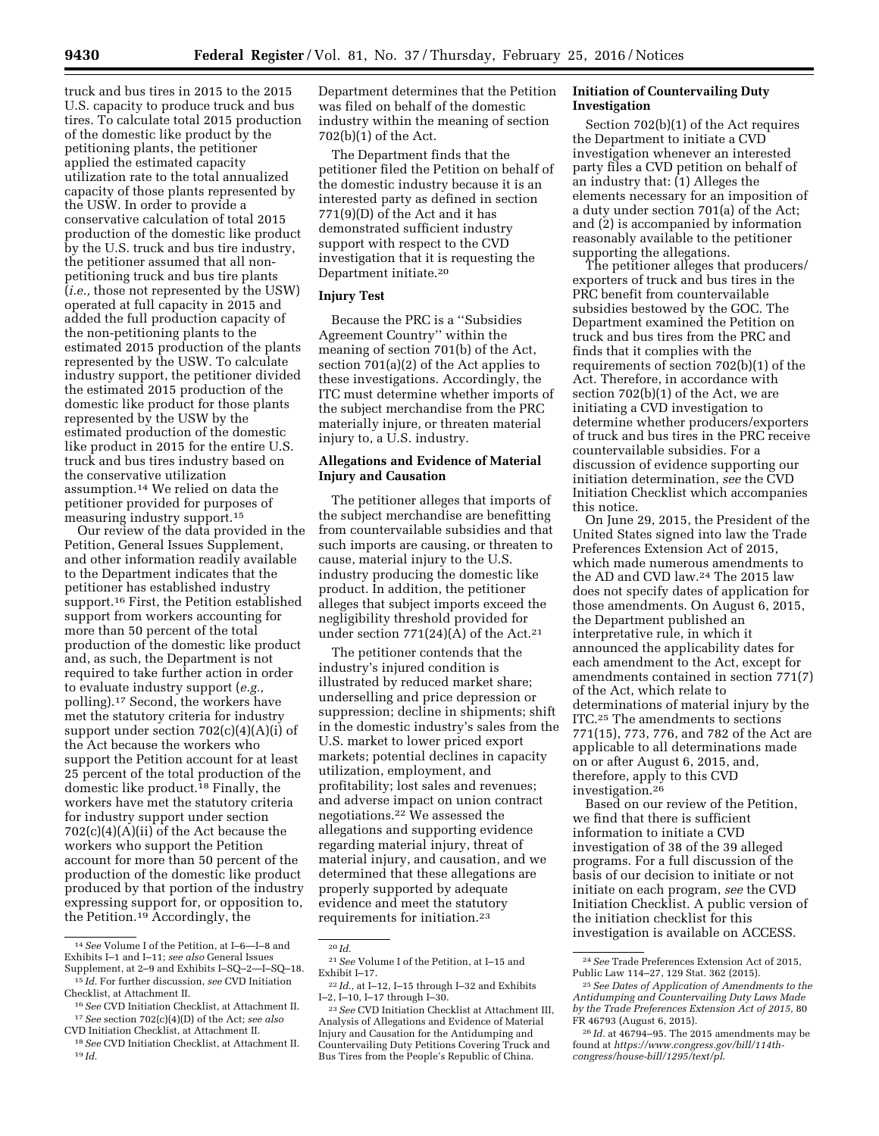truck and bus tires in 2015 to the 2015 U.S. capacity to produce truck and bus tires. To calculate total 2015 production of the domestic like product by the petitioning plants, the petitioner applied the estimated capacity utilization rate to the total annualized capacity of those plants represented by the USW. In order to provide a conservative calculation of total 2015 production of the domestic like product by the U.S. truck and bus tire industry, the petitioner assumed that all nonpetitioning truck and bus tire plants (*i.e.,* those not represented by the USW) operated at full capacity in 2015 and added the full production capacity of the non-petitioning plants to the estimated 2015 production of the plants represented by the USW. To calculate industry support, the petitioner divided the estimated 2015 production of the domestic like product for those plants represented by the USW by the estimated production of the domestic like product in 2015 for the entire U.S. truck and bus tires industry based on the conservative utilization assumption.14 We relied on data the petitioner provided for purposes of measuring industry support.15

Our review of the data provided in the Petition, General Issues Supplement, and other information readily available to the Department indicates that the petitioner has established industry support.<sup>16</sup> First, the Petition established support from workers accounting for more than 50 percent of the total production of the domestic like product and, as such, the Department is not required to take further action in order to evaluate industry support (*e.g.,*  polling).17 Second, the workers have met the statutory criteria for industry support under section 702(c)(4)(A)(i) of the Act because the workers who support the Petition account for at least 25 percent of the total production of the domestic like product.<sup>18</sup> Finally, the workers have met the statutory criteria for industry support under section 702(c)(4)(A)(ii) of the Act because the workers who support the Petition account for more than 50 percent of the production of the domestic like product produced by that portion of the industry expressing support for, or opposition to, the Petition.19 Accordingly, the

Department determines that the Petition was filed on behalf of the domestic industry within the meaning of section 702(b)(1) of the Act.

The Department finds that the petitioner filed the Petition on behalf of the domestic industry because it is an interested party as defined in section 771(9)(D) of the Act and it has demonstrated sufficient industry support with respect to the CVD investigation that it is requesting the Department initiate.20

## **Injury Test**

Because the PRC is a ''Subsidies Agreement Country'' within the meaning of section 701(b) of the Act, section 701(a)(2) of the Act applies to these investigations. Accordingly, the ITC must determine whether imports of the subject merchandise from the PRC materially injure, or threaten material injury to, a U.S. industry.

# **Allegations and Evidence of Material Injury and Causation**

The petitioner alleges that imports of the subject merchandise are benefitting from countervailable subsidies and that such imports are causing, or threaten to cause, material injury to the U.S. industry producing the domestic like product. In addition, the petitioner alleges that subject imports exceed the negligibility threshold provided for under section  $771(24)(A)$  of the Act.<sup>21</sup>

The petitioner contends that the industry's injured condition is illustrated by reduced market share; underselling and price depression or suppression; decline in shipments; shift in the domestic industry's sales from the U.S. market to lower priced export markets; potential declines in capacity utilization, employment, and profitability; lost sales and revenues; and adverse impact on union contract negotiations.22 We assessed the allegations and supporting evidence regarding material injury, threat of material injury, and causation, and we determined that these allegations are properly supported by adequate evidence and meet the statutory requirements for initiation.23

## **Initiation of Countervailing Duty Investigation**

Section 702(b)(1) of the Act requires the Department to initiate a CVD investigation whenever an interested party files a CVD petition on behalf of an industry that: (1) Alleges the elements necessary for an imposition of a duty under section 701(a) of the Act; and (2) is accompanied by information reasonably available to the petitioner supporting the allegations.

The petitioner alleges that producers/ exporters of truck and bus tires in the PRC benefit from countervailable subsidies bestowed by the GOC. The Department examined the Petition on truck and bus tires from the PRC and finds that it complies with the requirements of section 702(b)(1) of the Act. Therefore, in accordance with section 702(b)(1) of the Act, we are initiating a CVD investigation to determine whether producers/exporters of truck and bus tires in the PRC receive countervailable subsidies. For a discussion of evidence supporting our initiation determination, *see* the CVD Initiation Checklist which accompanies this notice.

On June 29, 2015, the President of the United States signed into law the Trade Preferences Extension Act of 2015, which made numerous amendments to the AD and CVD law.24 The 2015 law does not specify dates of application for those amendments. On August 6, 2015, the Department published an interpretative rule, in which it announced the applicability dates for each amendment to the Act, except for amendments contained in section 771(7) of the Act, which relate to determinations of material injury by the ITC.25 The amendments to sections 771(15), 773, 776, and 782 of the Act are applicable to all determinations made on or after August 6, 2015, and, therefore, apply to this CVD investigation.26

Based on our review of the Petition, we find that there is sufficient information to initiate a CVD investigation of 38 of the 39 alleged programs. For a full discussion of the basis of our decision to initiate or not initiate on each program, *see* the CVD Initiation Checklist. A public version of the initiation checklist for this investigation is available on ACCESS.

<sup>14</sup>*See* Volume I of the Petition, at I–6—I–8 and Exhibits I–1 and I–11; *see also* General Issues Supplement, at 2–9 and Exhibits I–SQ–2—I–SQ–18.

<sup>15</sup> *Id.* For further discussion, *see* CVD Initiation Checklist, at Attachment II.

<sup>16</sup>*See* CVD Initiation Checklist, at Attachment II. 17*See* section 702(c)(4)(D) of the Act; *see also*  CVD Initiation Checklist, at Attachment II.

<sup>18</sup>*See* CVD Initiation Checklist, at Attachment II. 19 *Id.* 

<sup>20</sup> *Id.* 

<sup>21</sup>*See* Volume I of the Petition, at I–15 and Exhibit I–17.

<sup>22</sup> *Id.,* at I–12, I–15 through I–32 and Exhibits I–2, I–10, I–17 through I–30.

<sup>23</sup>*See* CVD Initiation Checklist at Attachment III, Analysis of Allegations and Evidence of Material Injury and Causation for the Antidumping and Countervailing Duty Petitions Covering Truck and Bus Tires from the People's Republic of China.

<sup>24</sup>*See* Trade Preferences Extension Act of 2015, Public Law 114–27, 129 Stat. 362 (2015).

<sup>25</sup>*See Dates of Application of Amendments to the Antidumping and Countervailing Duty Laws Made by the Trade Preferences Extension Act of 2015,* 80 FR 46793 (August 6, 2015).

<sup>26</sup> *Id.* at 46794–95. The 2015 amendments may be found at *[https://www.congress.gov/bill/114th](https://www.congress.gov/bill/114th-congress/house-bill/1295/text/pl)[congress/house-bill/1295/text/pl](https://www.congress.gov/bill/114th-congress/house-bill/1295/text/pl)*.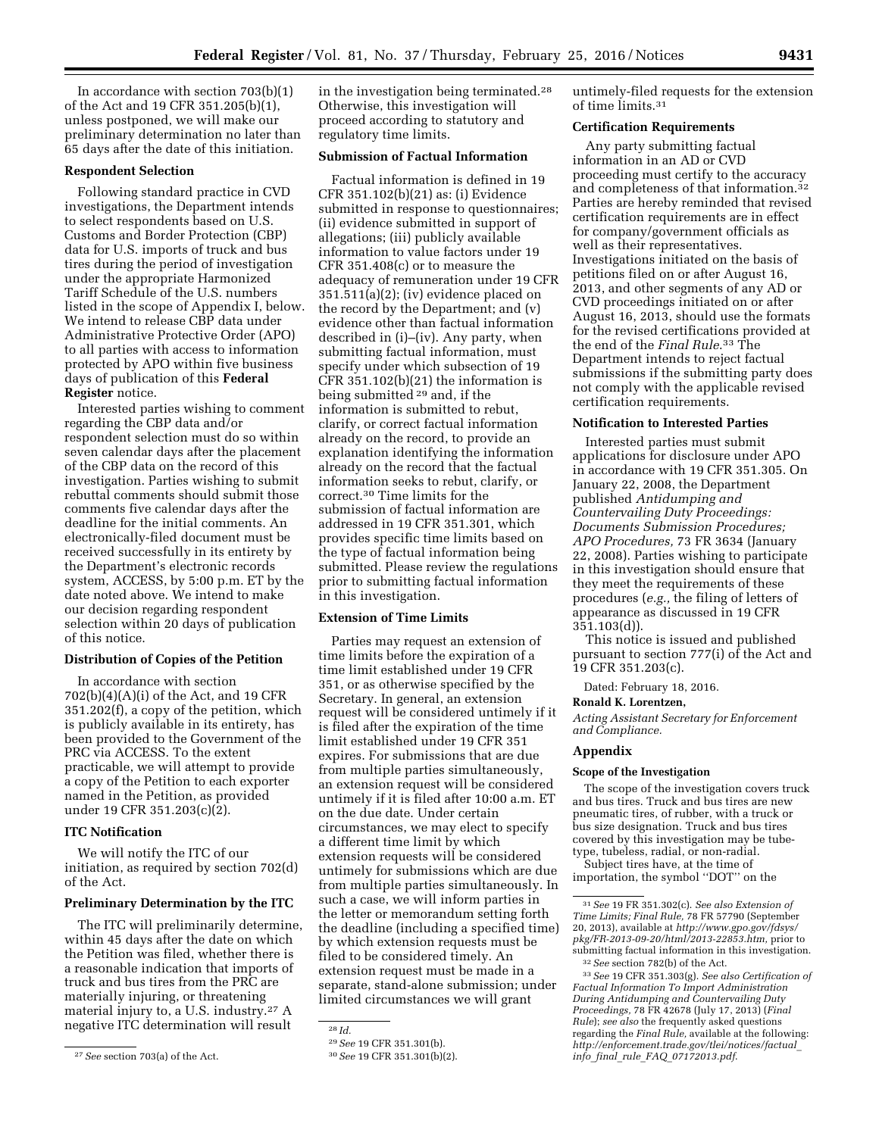In accordance with section 703(b)(1) of the Act and 19 CFR 351.205(b)(1), unless postponed, we will make our preliminary determination no later than 65 days after the date of this initiation.

## **Respondent Selection**

Following standard practice in CVD investigations, the Department intends to select respondents based on U.S. Customs and Border Protection (CBP) data for U.S. imports of truck and bus tires during the period of investigation under the appropriate Harmonized Tariff Schedule of the U.S. numbers listed in the scope of Appendix I, below. We intend to release CBP data under Administrative Protective Order (APO) to all parties with access to information protected by APO within five business days of publication of this **Federal Register** notice.

Interested parties wishing to comment regarding the CBP data and/or respondent selection must do so within seven calendar days after the placement of the CBP data on the record of this investigation. Parties wishing to submit rebuttal comments should submit those comments five calendar days after the deadline for the initial comments. An electronically-filed document must be received successfully in its entirety by the Department's electronic records system, ACCESS, by 5:00 p.m. ET by the date noted above. We intend to make our decision regarding respondent selection within 20 days of publication of this notice.

### **Distribution of Copies of the Petition**

In accordance with section 702(b)(4)(A)(i) of the Act, and 19 CFR 351.202(f), a copy of the petition, which is publicly available in its entirety, has been provided to the Government of the PRC via ACCESS. To the extent practicable, we will attempt to provide a copy of the Petition to each exporter named in the Petition, as provided under 19 CFR 351.203(c)(2).

#### **ITC Notification**

We will notify the ITC of our initiation, as required by section 702(d) of the Act.

#### **Preliminary Determination by the ITC**

The ITC will preliminarily determine, within 45 days after the date on which the Petition was filed, whether there is a reasonable indication that imports of truck and bus tires from the PRC are materially injuring, or threatening material injury to, a U.S. industry.27 A negative ITC determination will result

in the investigation being terminated.28 Otherwise, this investigation will proceed according to statutory and regulatory time limits.

# **Submission of Factual Information**

Factual information is defined in 19 CFR 351.102(b)(21) as: (i) Evidence submitted in response to questionnaires; (ii) evidence submitted in support of allegations; (iii) publicly available information to value factors under 19 CFR 351.408(c) or to measure the adequacy of remuneration under 19 CFR 351.511(a)(2); (iv) evidence placed on the record by the Department; and (v) evidence other than factual information described in (i)–(iv). Any party, when submitting factual information, must specify under which subsection of 19 CFR 351.102(b)(21) the information is being submitted 29 and, if the information is submitted to rebut, clarify, or correct factual information already on the record, to provide an explanation identifying the information already on the record that the factual information seeks to rebut, clarify, or correct.30 Time limits for the submission of factual information are addressed in 19 CFR 351.301, which provides specific time limits based on the type of factual information being submitted. Please review the regulations prior to submitting factual information in this investigation.

## **Extension of Time Limits**

Parties may request an extension of time limits before the expiration of a time limit established under 19 CFR 351, or as otherwise specified by the Secretary. In general, an extension request will be considered untimely if it is filed after the expiration of the time limit established under 19 CFR 351 expires. For submissions that are due from multiple parties simultaneously, an extension request will be considered untimely if it is filed after 10:00 a.m. ET on the due date. Under certain circumstances, we may elect to specify a different time limit by which extension requests will be considered untimely for submissions which are due from multiple parties simultaneously. In such a case, we will inform parties in the letter or memorandum setting forth the deadline (including a specified time) by which extension requests must be filed to be considered timely. An extension request must be made in a separate, stand-alone submission; under limited circumstances we will grant

untimely-filed requests for the extension of time limits.31

#### **Certification Requirements**

Any party submitting factual information in an AD or CVD proceeding must certify to the accuracy and completeness of that information.<sup>32</sup> Parties are hereby reminded that revised certification requirements are in effect for company/government officials as well as their representatives. Investigations initiated on the basis of petitions filed on or after August 16, 2013, and other segments of any AD or CVD proceedings initiated on or after August 16, 2013, should use the formats for the revised certifications provided at the end of the *Final Rule*.33 The Department intends to reject factual submissions if the submitting party does not comply with the applicable revised certification requirements.

## **Notification to Interested Parties**

Interested parties must submit applications for disclosure under APO in accordance with 19 CFR 351.305. On January 22, 2008, the Department published *Antidumping and Countervailing Duty Proceedings: Documents Submission Procedures; APO Procedures,* 73 FR 3634 (January 22, 2008). Parties wishing to participate in this investigation should ensure that they meet the requirements of these procedures (*e.g.,* the filing of letters of appearance as discussed in 19 CFR 351.103(d)).

This notice is issued and published pursuant to section 777(i) of the Act and 19 CFR 351.203(c).

Dated: February 18, 2016.

### **Ronald K. Lorentzen,**

*Acting Assistant Secretary for Enforcement and Compliance.* 

### **Appendix**

## **Scope of the Investigation**

The scope of the investigation covers truck and bus tires. Truck and bus tires are new pneumatic tires, of rubber, with a truck or bus size designation. Truck and bus tires covered by this investigation may be tubetype, tubeless, radial, or non-radial.

Subject tires have, at the time of importation, the symbol ''DOT'' on the

<sup>27</sup>*See* section 703(a) of the Act.

<sup>28</sup> *Id.* 

<sup>29</sup>*See* 19 CFR 351.301(b).

<sup>30</sup>*See* 19 CFR 351.301(b)(2).

<sup>31</sup>*See* 19 FR 351.302(c). *See also Extension of Time Limits; Final Rule,* 78 FR 57790 (September 20, 2013), available at *[http://www.gpo.gov/fdsys/](http://www.gpo.gov/fdsys/pkg/FR-2013-09-20/html/2013-22853.htm) [pkg/FR-2013-09-20/html/2013-22853.htm,](http://www.gpo.gov/fdsys/pkg/FR-2013-09-20/html/2013-22853.htm)* prior to submitting factual information in this investigation. 32*See* section 782(b) of the Act.

<sup>33</sup>*See* 19 CFR 351.303(g). *See also Certification of Factual Information To Import Administration During Antidumping and Countervailing Duty Proceedings,* 78 FR 42678 (July 17, 2013) (*Final Rule*); *see also* the frequently asked questions regarding the *Final Rule,* available at the following: *[http://enforcement.trade.gov/tlei/notices/factual](http://enforcement.trade.gov/tlei/notices/factual_info_final_rule_FAQ_07172013.pdf)*\_ *info*\_*final*\_*rule*\_*FAQ*\_*[07172013.pdf](http://enforcement.trade.gov/tlei/notices/factual_info_final_rule_FAQ_07172013.pdf)*.